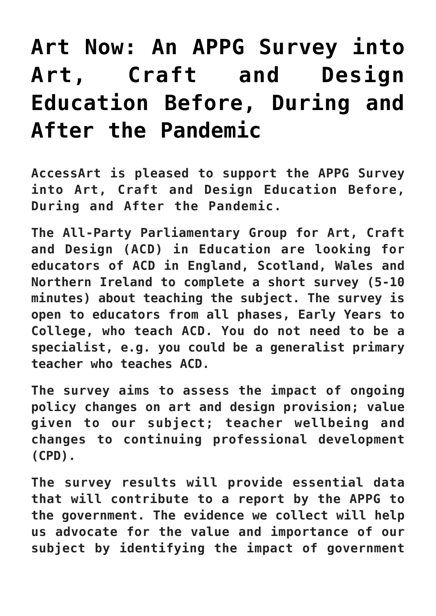## **[Art Now: An APPG Survey into](https://www.accessart.org.uk/appg-survey/) [Art, Craft and Design](https://www.accessart.org.uk/appg-survey/) [Education Before, During and](https://www.accessart.org.uk/appg-survey/) [After the Pandemic](https://www.accessart.org.uk/appg-survey/)**

**AccessArt is pleased to support the APPG Survey into Art, Craft and Design Education Before, During and After the Pandemic.**

**The All-Party Parliamentary Group for Art, Craft and Design (ACD) in Education are looking for educators of ACD in England, Scotland, Wales and Northern Ireland to complete a short survey (5-10 minutes) about teaching the subject. The survey is open to educators from all phases, Early Years to College, who teach ACD. You do not need to be a specialist, e.g. you could be a generalist primary teacher who teaches ACD.**

**The survey aims to assess the impact of ongoing policy changes on art and design provision; value given to our subject; teacher wellbeing and changes to continuing professional development (CPD).**

**The survey results will provide essential data that will contribute to a report by the APPG to the government. The evidence we collect will help us advocate for the value and importance of our subject by identifying the impact of government**